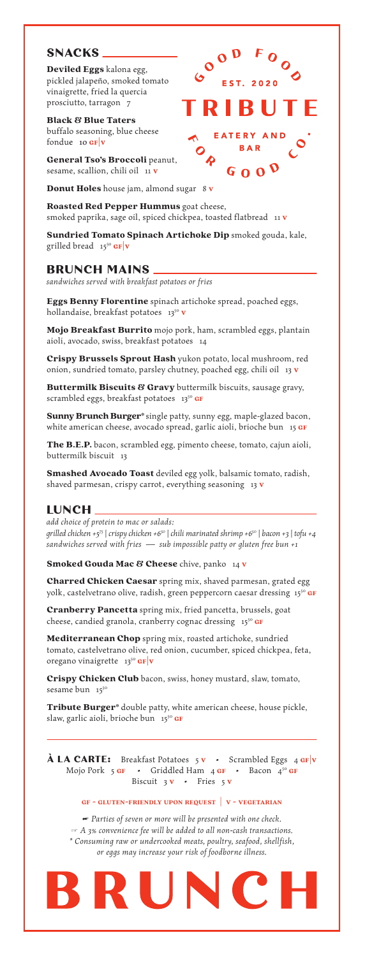#### **BRUNCH MAINS**

*sandwiches served with breakfast potatoes or fries*

#### **LUNCH**

Charred Chicken Caesar spring mix, shaved parmesan, grated egg yolk, castelvetrano olive, radish, green peppercorn caesar dressing 1550 GF

*add choice of protein to mac or salads: grilled chicken +575* | *crispy chicken +650* | *chili marinated shrimp +650* | *bacon +3* | *tofu +4 sandwiches served with fries — sub impossible patty or gluten free bun +1*

Smoked Gouda Mac & Cheese chive, panko 14 v

Cranberry Pancetta spring mix, fried pancetta, brussels, goat cheese, candied granola, cranberry cognac dressing 15<sup>50</sup> GF

Mediterranean Chop spring mix, roasted artichoke, sundried tomato, castelvetrano olive, red onion, cucumber, spiced chickpea, feta, oregano vinaigrette  $13^{50}$  GF v

Crispy Chicken Club bacon, swiss, honey mustard, slaw, tomato, sesame bun 15<sup>50</sup>

Tribute Burger\* double patty, white american cheese, house pickle, slaw, garlic aioli, brioche bun 1550 GF



**À LA CARTE:** Breakfast Potatoes 5 v · Scrambled Eggs 4 GF|v Mojo Pork 5 GF • Griddled Ham 4 GF • Bacon  $4^{50}$  GF Biscuit 3 v · Fries 5 v

Black & Blue Taters buffalo seasoning, blue cheese fondue 10  $GF|V$ 

General Tso's Broccoli peanut, sesame, scallion, chili oil 11 v

**Donut Holes** house jam, almond sugar 8 v

Roasted Red Pepper Hummus goat cheese, smoked paprika, sage oil, spiced chickpea, toasted flatbread 11 v

Sundried Tomato Spinach Artichoke Dip smoked gouda, kale, grilled bread  $15^{50}$  GF  $|v|$ 

EST. 2020

R I

EATERY AND

 $G \Omega Q$ 

Eggs Benny Florentine spinach artichoke spread, poached eggs, hollandaise, breakfast potatoes  $13^{50}$  v

# **SNACKS**

Deviled Eggs kalona egg, pickled jalapeño, smoked tomato vinaigrette, fried la quercia prosciutto, tarragon 7

Crispy Brussels Sprout Hash yukon potato, local mushroom, red onion, sundried tomato, parsley chutney, poached egg, chili oil 13 v

Buttermilk Biscuits & Gravy buttermilk biscuits, sausage gravy, scrambled eggs, breakfast potatoes 1350 GF

Sunny Brunch Burger\* single patty, sunny egg, maple-glazed bacon, white american cheese, avocado spread, garlic aioli, brioche bun  $15 \text{ GF}$ 

Smashed Avocado Toast deviled egg yolk, balsamic tomato, radish, shaved parmesan, crispy carrot, everything seasoning  $13 \text{ V}$ 

**gf - gluten-friendly upon request | v - vegetarian**

*☛ Parties of seven or more will be presented with one check. ☞ A 3% convenience fee will be added to all non-cash transactions. \* Consuming raw or undercooked meats, poultry, seafood, shellfish, or eggs may increase your risk of foodborne illness.*



Mojo Breakfast Burrito mojo pork, ham, scrambled eggs, plantain aioli, avocado, swiss, breakfast potatoes 14

The B.E.P. bacon, scrambled egg, pimento cheese, tomato, cajun aioli, buttermilk biscuit 13